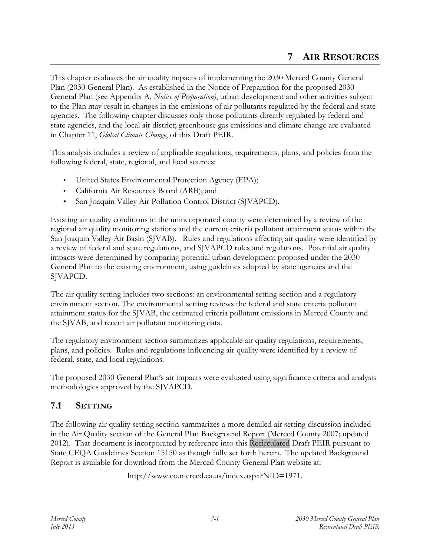This chapter evaluates the air quality impacts of implementing the 2030 Merced County General Plan (2030 General Plan). As established in the Notice of Preparation for the proposed 2030 General Plan (see Appendix A, *Notice of Preparation)*, urban development and other activities subject to the Plan may result in changes in the emissions of air pollutants regulated by the federal and state agencies. The following chapter discusses only those pollutants directly regulated by federal and state agencies, and the local air district; greenhouse gas emissions and climate change are evaluated in Chapter 11, *Global Climate Change*, of this Draft PEIR.

This analysis includes a review of applicable regulations, requirements, plans, and policies from the following federal, state, regional, and local sources:

- United States Environmental Protection Agency (EPA);
- California Air Resources Board (ARB); and
- San Joaquin Valley Air Pollution Control District (SJVAPCD).

Existing air quality conditions in the unincorporated county were determined by a review of the regional air quality monitoring stations and the current criteria pollutant attainment status within the San Joaquin Valley Air Basin (SJVAB). Rules and regulations affecting air quality were identified by a review of federal and state regulations, and SJVAPCD rules and regulations. Potential air quality impacts were determined by comparing potential urban development proposed under the 2030 General Plan to the existing environment, using guidelines adopted by state agencies and the SJVAPCD.

The air quality setting includes two sections: an environmental setting section and a regulatory environment section. The environmental setting reviews the federal and state criteria pollutant attainment status for the SJVAB, the estimated criteria pollutant emissions in Merced County and the SJVAB, and recent air pollutant monitoring data.

The regulatory environment section summarizes applicable air quality regulations, requirements, plans, and policies. Rules and regulations influencing air quality were identified by a review of federal, state, and local regulations.

The proposed 2030 General Plan's air impacts were evaluated using significance criteria and analysis methodologies approved by the SJVAPCD.

# **7.1 SETTING**

The following air quality setting section summarizes a more detailed air setting discussion included in the Air Quality section of the General Plan Background Report (Merced County 2007; updated 2012). That document is incorporated by reference into this Recirculated Draft PEIR pursuant to State CEQA Guidelines Section 15150 as though fully set forth herein. The updated Background Report is available for download from the Merced County General Plan website at:

http://www.co.merced.ca.us/index.aspx?NID=1971.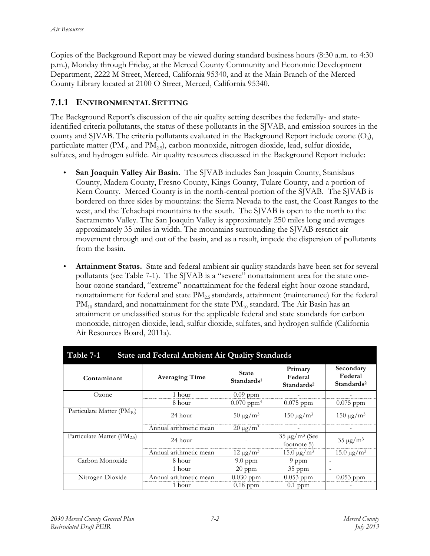Copies of the Background Report may be viewed during standard business hours (8:30 a.m. to 4:30 p.m.), Monday through Friday, at the Merced County Community and Economic Development Department, 2222 M Street, Merced, California 95340, and at the Main Branch of the Merced County Library located at 2100 O Street, Merced, California 95340.

#### **7.1.1 ENVIRONMENTAL SETTING**

The Background Report's discussion of the air quality setting describes the federally- and stateidentified criteria pollutants, the status of these pollutants in the SJVAB, and emission sources in the county and SJVAB. The criteria pollutants evaluated in the Background Report include ozone  $(O_3)$ , particulate matter ( $PM_{10}$  and  $PM_{2.5}$ ), carbon monoxide, nitrogen dioxide, lead, sulfur dioxide, sulfates, and hydrogen sulfide. Air quality resources discussed in the Background Report include:

- **San Joaquin Valley Air Basin.** The SJVAB includes San Joaquin County, Stanislaus County, Madera County, Fresno County, Kings County, Tulare County, and a portion of Kern County. Merced County is in the north-central portion of the SJVAB. The SJVAB is bordered on three sides by mountains: the Sierra Nevada to the east, the Coast Ranges to the west, and the Tehachapi mountains to the south. The SJVAB is open to the north to the Sacramento Valley. The San Joaquin Valley is approximately 250 miles long and averages approximately 35 miles in width. The mountains surrounding the SJVAB restrict air movement through and out of the basin, and as a result, impede the dispersion of pollutants from the basin.
- **Attainment Status.** State and federal ambient air quality standards have been set for several pollutants (see Table 7-1).The SJVAB is a "severe" nonattainment area for the state onehour ozone standard, "extreme" nonattainment for the federal eight-hour ozone standard, nonattainment for federal and state  $\text{PM}_{2.5}$  standards, attainment (maintenance) for the federal  $PM_{10}$  standard, and nonattainment for the state  $PM_{10}$  standard. The Air Basin has an attainment or unclassified status for the applicable federal and state standards for carbon monoxide, nitrogen dioxide, lead, sulfur dioxide, sulfates, and hydrogen sulfide (California Air Resources Board, 2011a).

| Table 7-1<br><b>State and Federal Ambient Air Quality Standards</b> |                        |                                        |                                              |                                                |  |
|---------------------------------------------------------------------|------------------------|----------------------------------------|----------------------------------------------|------------------------------------------------|--|
| Contaminant                                                         | <b>Averaging Time</b>  | <b>State</b><br>Standards <sup>1</sup> | Primary<br>Federal<br>Standards <sup>2</sup> | Secondary<br>Federal<br>Standards <sup>2</sup> |  |
| Ozone                                                               | 1 hour                 | $0.09$ ppm                             |                                              |                                                |  |
|                                                                     | 8 hour                 | $0.070$ ppm <sup>4</sup>               | $0.075$ ppm                                  | $0.075$ ppm                                    |  |
| Particulate Matter $(PM_{10})$                                      | 24 hour                | $50 \mu g/m^3$                         | $150 \mu g/m^3$                              | $150 \mu g/m^3$                                |  |
|                                                                     | Annual arithmetic mean | $20 \mu g/m^3$                         |                                              |                                                |  |
| Particulate Matter (PM <sub>2.5</sub> )                             | 24 hour                |                                        | $35 \mu g/m^3$ (See<br>footnote 5)           | $35 \mu g/m^3$                                 |  |
|                                                                     | Annual arithmetic mean | $12 \mu g/m^3$                         | $15.0 \,\mathrm{\mu g/m^3}$                  | $15.0 \,\mathrm{\mu g/m^3}$                    |  |
| Carbon Monoxide                                                     | 8 hour                 | $9.0$ ppm                              | 9 ppm                                        |                                                |  |
|                                                                     | 1 hour                 | $20$ ppm                               | $35$ ppm                                     | $\overline{\phantom{a}}$                       |  |
| Nitrogen Dioxide                                                    | Annual arithmetic mean | $0.030$ ppm                            | $0.053$ ppm                                  | $0.053$ ppm                                    |  |
|                                                                     | 1 hour                 | $0.18$ ppm                             | $0.1$ ppm                                    |                                                |  |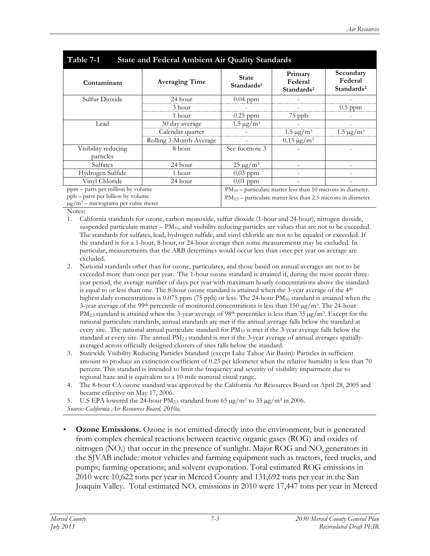| Table 7-1<br><b>State and Federal Ambient Air Quality Standards</b>                                                           |                         |                                                                                                                                        |                                              |                                                |  |
|-------------------------------------------------------------------------------------------------------------------------------|-------------------------|----------------------------------------------------------------------------------------------------------------------------------------|----------------------------------------------|------------------------------------------------|--|
| Contaminant                                                                                                                   | <b>Averaging Time</b>   | <b>State</b><br>Standards <sup>1</sup>                                                                                                 | Primary<br>Federal<br>Standards <sup>2</sup> | Secondary<br>Federal<br>Standards <sup>2</sup> |  |
| Sulfur Dioxide                                                                                                                | 24 hour                 | $0.04$ ppm                                                                                                                             |                                              |                                                |  |
|                                                                                                                               | 3 hour                  |                                                                                                                                        |                                              | $0.5$ ppm                                      |  |
|                                                                                                                               | 1 hour                  | $0.25$ ppm                                                                                                                             | 75 ppb                                       |                                                |  |
| Lead                                                                                                                          | 30 day average          | $1.5 \,\mathrm{\mu g/m^3}$                                                                                                             |                                              |                                                |  |
|                                                                                                                               | Calendar quarter        |                                                                                                                                        | $1.5 \,\mathrm{\mu g/m^3}$                   | $1.5 \,\mathrm{\mu g/m^3}$                     |  |
|                                                                                                                               | Rolling 3-Month Average |                                                                                                                                        | $0.15 \,\mathrm{\mu g/m^3}$                  |                                                |  |
| Visibility reducing<br>particles                                                                                              | 8 hour                  | See footnote 3                                                                                                                         |                                              |                                                |  |
| Sulfates                                                                                                                      | 24 hour                 | $25 \mu g/m^3$                                                                                                                         |                                              |                                                |  |
| Hydrogen Sulfide                                                                                                              | 1 hour                  | $0.03$ ppm                                                                                                                             |                                              |                                                |  |
| Vinyl Chloride                                                                                                                | 24 hour                 | $0.01$ ppm                                                                                                                             |                                              |                                                |  |
| ppm – parts per million by volume<br>ppb – parts per billion by volume<br>$\mu$ g/m <sup>3</sup> – micrograms per cubic meter |                         | $PM_{10}$ – particulate matter less than 10 microns in diameter.<br>$PM_{2.5}$ – particulate matter less than 2.5 microns in diameter. |                                              |                                                |  |

Notes:

- 1. California standards for ozone, carbon monoxide, sulfur dioxide (1-hour and 24-hour), nitrogen dioxide, suspended particulate matter  $-$  PM<sub>10</sub>, and visibility reducing particles are values that are not to be exceeded. The standards for sulfates, lead, hydrogen sulfide, and vinyl chloride are not to be equaled or exceeded. If the standard is for a 1-hour, 8-hour, or 24-hour average then some measurements may be excluded. In particular, measurements that the ARB determines would occur less than once per year on average are excluded.
- 2. National standards other than for ozone, particulates, and those based on annual averages are not to be exceeded more than once per year. The 1-hour ozone standard is attained if, during the most recent threeyear period, the average number of days per year with maximum hourly concentrations above the standard is equal to or less than one. The 8-hour ozone standard is attained when the 3-year average of the 4<sup>th</sup> highest daily concentrations is 0.075 ppm (75 ppb) or less. The 24-hour PM<sub>10</sub> standard is attained when the 3-year average of the 99<sup>th</sup> percentile of monitored concentrations is less than 150  $\mu$ g/m<sup>3</sup>. The 24-hour  $PM_{2.5}$  standard is attained when the 3-year average of 98<sup>th</sup> percentiles is less than 35  $\mu$ g/m<sup>3</sup>. Except for the national particulate standards, annual standards are met if the annual average falls below the standard at every site. The national annual particulate standard for  $PM_{10}$  is met if the 3-year average falls below the standard at every site. The annual PM2.5 standard is met if the 3-year average of annual averages spatiallyaveraged across officially designed clusters of sites falls below the standard.
- 3. Statewide Visibility Reducing Particles Standard (except Lake Tahoe Air Basin): Particles in sufficient amount to produce an extinction coefficient of 0.23 per kilometer when the relative humidity is less than 70 percent. This standard is intended to limit the frequency and severity of visibility impairment due to regional haze and is equivalent to a 10-mile nominal visual range.
- 4. The 8-hour CA ozone standard was approved by the California Air Resources Board on April 28, 2005 and became effective on May 17, 2006.
- 5. U.S EPA lowered the 24-hour PM<sub>2.5</sub> standard from 65  $\mu$ g/m<sup>3</sup> to 35  $\mu$ g/m<sup>3</sup> in 2006.

**Ozone Emissions.** Ozone is not emitted directly into the environment, but is generated from complex chemical reactions between reactive organic gases (ROG) and oxides of nitrogen  $(NO_x)$  that occur in the presence of sunlight. Major ROG and  $NO_y$  generators in the SJVAB include: motor vehicles and farming equipment such as tractors, feed trucks, and pumps; farming operations; and solvent evaporation. Total estimated ROG emissions in 2010 were 10,622 tons per year in Merced County and 131,692 tons per year in the San Joaquin Valley. Total estimated  $NO<sub>x</sub>$  emissions in 2010 were 17,447 tons per year in Merced

*Source: California Air Resources Board, 2010a.*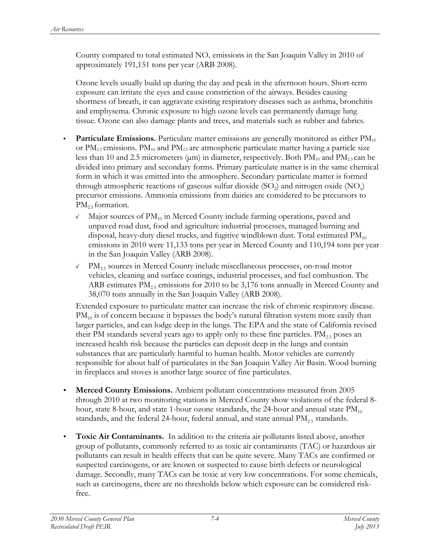County compared to total estimated  $NO<sub>x</sub>$  emissions in the San Joaquin Valley in 2010 of approximately 191,151 tons per year (ARB 2008).

Ozone levels usually build up during the day and peak in the afternoon hours. Short-term exposure can irritate the eyes and cause constriction of the airways. Besides causing shortness of breath, it can aggravate existing respiratory diseases such as asthma, bronchitis and emphysema. Chronic exposure to high ozone levels can permanently damage lung tissue. Ozone can also damage plants and trees, and materials such as rubber and fabrics.

- **Particulate Emissions.** Particulate matter emissions are generally monitored as either PM<sub>10</sub> or  $PM_{2.5}$  emissions.  $PM_{10}$  and  $PM_{2.5}$  are atmospheric particulate matter having a particle size less than 10 and 2.5 micrometers ( $\mu$ m) in diameter, respectively. Both PM<sub>10</sub> and PM<sub>2.5</sub> can be divided into primary and secondary forms. Primary particulate matter is in the same chemical form in which it was emitted into the atmosphere. Secondary particulate matter is formed through atmospheric reactions of gaseous sulfur dioxide  $(SO<sub>2</sub>)$  and nitrogen oxide  $(NO<sub>x</sub>)$ precursor emissions. Ammonia emissions from dairies are considered to be precursors to  $PM_{2.5}$  formation.
	- $\sqrt{M}$  Major sources of PM<sub>10</sub> in Merced County include farming operations, paved and unpaved road dust, food and agriculture industrial processes, managed burning and disposal, heavy-duty diesel trucks, and fugitive windblown dust. Total estimated  $PM_{10}$ emissions in 2010 were 11,133 tons per year in Merced County and 110,194 tons per year in the San Joaquin Valley (ARB 2008).
	- <sup>√</sup> PM2.5 sources in Merced County include miscellaneous processes, on-road motor vehicles, cleaning and surface coatings, industrial processes, and fuel combustion. The ARB estimates  $PM_{2.5}$  emissions for 2010 to be 3,176 tons annually in Merced County and 38,070 tons annually in the San Joaquin Valley (ARB 2008).

Extended exposure to particulate matter can increase the risk of chronic respiratory disease.  $PM_{10}$  is of concern because it bypasses the body's natural filtration system more easily than larger particles, and can lodge deep in the lungs. The EPA and the state of California revised their PM standards several years ago to apply only to these fine particles.  $PM_{25}$  poses an increased health risk because the particles can deposit deep in the lungs and contain substances that are particularly harmful to human health. Motor vehicles are currently responsible for about half of particulates in the San Joaquin Valley Air Basin. Wood burning in fireplaces and stoves is another large source of fine particulates.

- **Merced County Emissions.** Ambient pollutant concentrations measured from 2005 through 2010 at two monitoring stations in Merced County show violations of the federal 8 hour, state 8-hour, and state 1-hour ozone standards, the 24-hour and annual state  $PM_{10}$ standards, and the federal 24-hour, federal annual, and state annual  $PM_{2.5}$  standards.
- **Toxic Air Contaminants.** In addition to the criteria air pollutants listed above, another group of pollutants, commonly referred to as toxic air contaminants (TAC) or hazardous air pollutants can result in health effects that can be quite severe. Many TACs are confirmed or suspected carcinogens, or are known or suspected to cause birth defects or neurological damage. Secondly, many TACs can be toxic at very low concentrations. For some chemicals, such as carcinogens, there are no thresholds below which exposure can be considered riskfree.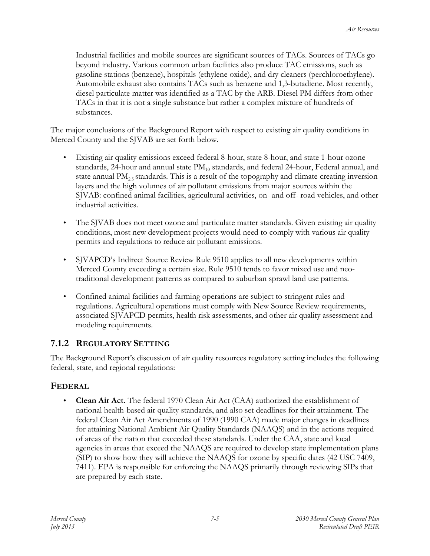Industrial facilities and mobile sources are significant sources of TACs. Sources of TACs go beyond industry. Various common urban facilities also produce TAC emissions, such as gasoline stations (benzene), hospitals (ethylene oxide), and dry cleaners (perchloroethylene). Automobile exhaust also contains TACs such as benzene and 1,3-butadiene. Most recently, diesel particulate matter was identified as a TAC by the ARB. Diesel PM differs from other TACs in that it is not a single substance but rather a complex mixture of hundreds of substances.

The major conclusions of the Background Report with respect to existing air quality conditions in Merced County and the SJVAB are set forth below.

- Existing air quality emissions exceed federal 8-hour, state 8-hour, and state 1-hour ozone standards, 24-hour and annual state  $PM_{10}$  standards, and federal 24-hour, Federal annual, and state annual  $PM_{2.5}$  standards. This is a result of the topography and climate creating inversion layers and the high volumes of air pollutant emissions from major sources within the SJVAB: confined animal facilities, agricultural activities, on- and off- road vehicles, and other industrial activities.
- The SJVAB does not meet ozone and particulate matter standards. Given existing air quality conditions, most new development projects would need to comply with various air quality permits and regulations to reduce air pollutant emissions.
- SJVAPCD's Indirect Source Review Rule 9510 applies to all new developments within Merced County exceeding a certain size. Rule 9510 tends to favor mixed use and neotraditional development patterns as compared to suburban sprawl land use patterns.
- Confined animal facilities and farming operations are subject to stringent rules and regulations. Agricultural operations must comply with New Source Review requirements, associated SJVAPCD permits, health risk assessments, and other air quality assessment and modeling requirements.

# **7.1.2 REGULATORY SETTING**

The Background Report's discussion of air quality resources regulatory setting includes the following federal, state, and regional regulations:

# **FEDERAL**

• **Clean Air Act.** The federal 1970 Clean Air Act (CAA) authorized the establishment of national health-based air quality standards, and also set deadlines for their attainment. The federal Clean Air Act Amendments of 1990 (1990 CAA) made major changes in deadlines for attaining National Ambient Air Quality Standards (NAAQS) and in the actions required of areas of the nation that exceeded these standards. Under the CAA, state and local agencies in areas that exceed the NAAQS are required to develop state implementation plans (SIP) to show how they will achieve the NAAQS for ozone by specific dates (42 USC 7409, 7411). EPA is responsible for enforcing the NAAQS primarily through reviewing SIPs that are prepared by each state.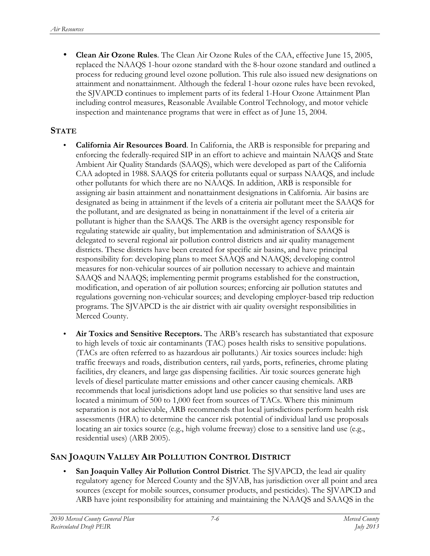• **Clean Air Ozone Rules**. The Clean Air Ozone Rules of the CAA, effective June 15, 2005, replaced the NAAQS 1-hour ozone standard with the 8-hour ozone standard and outlined a process for reducing ground level ozone pollution. This rule also issued new designations on attainment and nonattainment. Although the federal 1-hour ozone rules have been revoked, the SJVAPCD continues to implement parts of its federal 1-Hour Ozone Attainment Plan including control measures, Reasonable Available Control Technology, and motor vehicle inspection and maintenance programs that were in effect as of June 15, 2004.

#### **STATE**

- **California Air Resources Board**. In California, the ARB is responsible for preparing and enforcing the federally-required SIP in an effort to achieve and maintain NAAQS and State Ambient Air Quality Standards (SAAQS), which were developed as part of the California CAA adopted in 1988. SAAQS for criteria pollutants equal or surpass NAAQS, and include other pollutants for which there are no NAAQS. In addition, ARB is responsible for assigning air basin attainment and nonattainment designations in California. Air basins are designated as being in attainment if the levels of a criteria air pollutant meet the SAAQS for the pollutant, and are designated as being in nonattainment if the level of a criteria air pollutant is higher than the SAAQS. The ARB is the oversight agency responsible for regulating statewide air quality, but implementation and administration of SAAQS is delegated to several regional air pollution control districts and air quality management districts. These districts have been created for specific air basins, and have principal responsibility for: developing plans to meet SAAQS and NAAQS; developing control measures for non-vehicular sources of air pollution necessary to achieve and maintain SAAQS and NAAQS; implementing permit programs established for the construction, modification, and operation of air pollution sources; enforcing air pollution statutes and regulations governing non-vehicular sources; and developing employer-based trip reduction programs. The SJVAPCD is the air district with air quality oversight responsibilities in Merced County.
- **Air Toxics and Sensitive Receptors.** The ARB's research has substantiated that exposure to high levels of toxic air contaminants (TAC) poses health risks to sensitive populations. (TACs are often referred to as hazardous air pollutants.) Air toxics sources include: high traffic freeways and roads, distribution centers, rail yards, ports, refineries, chrome plating facilities, dry cleaners, and large gas dispensing facilities. Air toxic sources generate high levels of diesel particulate matter emissions and other cancer causing chemicals. ARB recommends that local jurisdictions adopt land use policies so that sensitive land uses are located a minimum of 500 to 1,000 feet from sources of TACs. Where this minimum separation is not achievable, ARB recommends that local jurisdictions perform health risk assessments (HRA) to determine the cancer risk potential of individual land use proposals locating an air toxics source (e.g., high volume freeway) close to a sensitive land use (e.g., residential uses) (ARB 2005).

#### **SAN JOAQUIN VALLEY AIR POLLUTION CONTROL DISTRICT**

**San Joaquin Valley Air Pollution Control District**. The SJVAPCD, the lead air quality regulatory agency for Merced County and the SJVAB, has jurisdiction over all point and area sources (except for mobile sources, consumer products, and pesticides). The SJVAPCD and ARB have joint responsibility for attaining and maintaining the NAAQS and SAAQS in the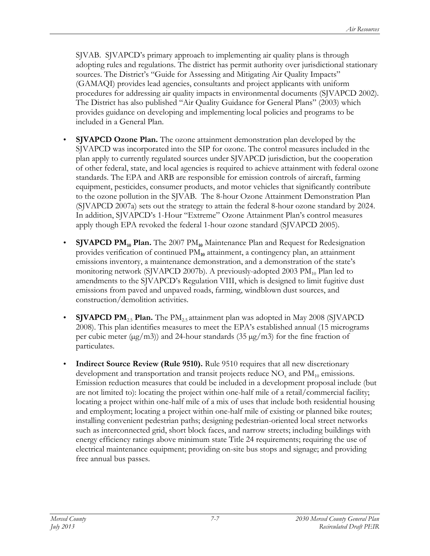SJVAB. SJVAPCD's primary approach to implementing air quality plans is through adopting rules and regulations. The district has permit authority over jurisdictional stationary sources. The District's "Guide for Assessing and Mitigating Air Quality Impacts" (GAMAQI) provides lead agencies, consultants and project applicants with uniform procedures for addressing air quality impacts in environmental documents (SJVAPCD 2002). The District has also published "Air Quality Guidance for General Plans" (2003) which provides guidance on developing and implementing local policies and programs to be included in a General Plan.

- **SJVAPCD Ozone Plan.** The ozone attainment demonstration plan developed by the SJVAPCD was incorporated into the SIP for ozone. The control measures included in the plan apply to currently regulated sources under SJVAPCD jurisdiction, but the cooperation of other federal, state, and local agencies is required to achieve attainment with federal ozone standards. The EPA and ARB are responsible for emission controls of aircraft, farming equipment, pesticides, consumer products, and motor vehicles that significantly contribute to the ozone pollution in the SJVAB. The 8-hour Ozone Attainment Demonstration Plan (SJVAPCD 2007a) sets out the strategy to attain the federal 8-hour ozone standard by 2024. In addition, SJVAPCD's 1-Hour "Extreme" Ozone Attainment Plan's control measures apply though EPA revoked the federal 1-hour ozone standard (SJVAPCD 2005).
- **SJVAPCD PM10 Plan.** The 2007 PM**10** Maintenance Plan and Request for Redesignation provides verification of continued PM<sub>10</sub> attainment, a contingency plan, an attainment emissions inventory, a maintenance demonstration, and a demonstration of the state's monitoring network (SJVAPCD 2007b). A previously-adopted 2003  $PM_{10}$  Plan led to amendments to the SJVAPCD's Regulation VIII, which is designed to limit fugitive dust emissions from paved and unpaved roads, farming, windblown dust sources, and construction/demolition activities.
- **SJVAPCD PM<sub>2.5</sub> Plan.** The PM<sub>2.5</sub> attainment plan was adopted in May 2008 (SJVAPCD 2008). This plan identifies measures to meet the EPA's established annual (15 micrograms per cubic meter ( $\mu$ g/m3)) and 24-hour standards (35  $\mu$ g/m3) for the fine fraction of particulates.
- **Indirect Source Review (Rule 9510).** Rule 9510 requires that all new discretionary development and transportation and transit projects reduce  $NO<sub>x</sub>$  and  $PM<sub>10</sub>$  emissions. Emission reduction measures that could be included in a development proposal include (but are not limited to): locating the project within one-half mile of a retail/commercial facility; locating a project within one-half mile of a mix of uses that include both residential housing and employment; locating a project within one-half mile of existing or planned bike routes; installing convenient pedestrian paths; designing pedestrian-oriented local street networks such as interconnected grid, short block faces, and narrow streets; including buildings with energy efficiency ratings above minimum state Title 24 requirements; requiring the use of electrical maintenance equipment; providing on-site bus stops and signage; and providing free annual bus passes.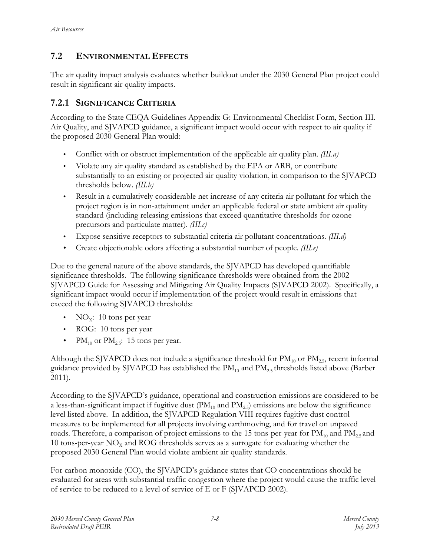# **7.2 ENVIRONMENTAL EFFECTS**

The air quality impact analysis evaluates whether buildout under the 2030 General Plan project could result in significant air quality impacts.

### **7.2.1 SIGNIFICANCE CRITERIA**

According to the State CEQA Guidelines Appendix G: Environmental Checklist Form, Section III. Air Quality, and SJVAPCD guidance, a significant impact would occur with respect to air quality if the proposed 2030 General Plan would:

- Conflict with or obstruct implementation of the applicable air quality plan. *(III.a)*
- Violate any air quality standard as established by the EPA or ARB, or contribute substantially to an existing or projected air quality violation, in comparison to the SJVAPCD thresholds below. *(III.b)*
- Result in a cumulatively considerable net increase of any criteria air pollutant for which the project region is in non-attainment under an applicable federal or state ambient air quality standard (including releasing emissions that exceed quantitative thresholds for ozone precursors and particulate matter). *(III.c)*
- Expose sensitive receptors to substantial criteria air pollutant concentrations. *(III.d)*
- Create objectionable odors affecting a substantial number of people. *(III.e)*

Due to the general nature of the above standards, the SJVAPCD has developed quantifiable significance thresholds. The following significance thresholds were obtained from the 2002 SJVAPCD Guide for Assessing and Mitigating Air Quality Impacts (SJVAPCD 2002). Specifically, a significant impact would occur if implementation of the project would result in emissions that exceed the following SJVAPCD thresholds:

- NO<sub>x</sub>: 10 tons per year
- ROG: 10 tons per year
- $PM_{10}$  or  $PM_{2.5}$ : 15 tons per year.

Although the SJVAPCD does not include a significance threshold for  $PM_{10}$  or  $PM_{2.5}$ , recent informal guidance provided by SJVAPCD has established the  $PM_{10}$  and  $PM_{2.5}$  thresholds listed above (Barber 2011).

According to the SJVAPCD's guidance, operational and construction emissions are considered to be a less-than-significant impact if fugitive dust  $(PM_{10}$  and  $PM_{2.5})$  emissions are below the significance level listed above. In addition, the SJVAPCD Regulation VIII requires fugitive dust control measures to be implemented for all projects involving earthmoving, and for travel on unpaved roads. Therefore, a comparison of project emissions to the 15 tons-per-year for  $PM_{10}$  and  $PM_{2.5}$  and 10 tons-per-year  $NO<sub>x</sub>$  and ROG thresholds serves as a surrogate for evaluating whether the proposed 2030 General Plan would violate ambient air quality standards.

For carbon monoxide (CO), the SJVAPCD's guidance states that CO concentrations should be evaluated for areas with substantial traffic congestion where the project would cause the traffic level of service to be reduced to a level of service of E or F (SJVAPCD 2002).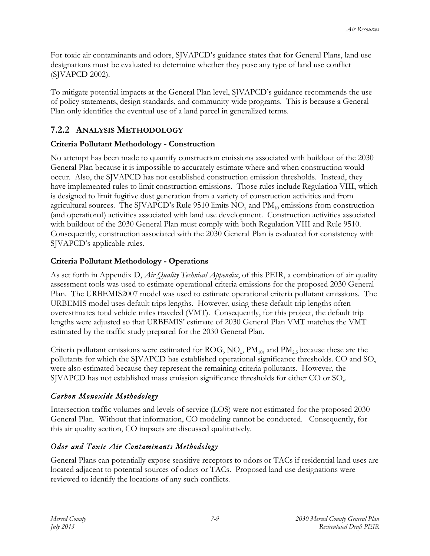For toxic air contaminants and odors, SJVAPCD's guidance states that for General Plans, land use designations must be evaluated to determine whether they pose any type of land use conflict (SJVAPCD 2002).

To mitigate potential impacts at the General Plan level, SJVAPCD's guidance recommends the use of policy statements, design standards, and community-wide programs. This is because a General Plan only identifies the eventual use of a land parcel in generalized terms.

# **7.2.2 ANALYSIS METHODOLOGY**

# **Criteria Pollutant Methodology - Construction**

No attempt has been made to quantify construction emissions associated with buildout of the 2030 General Plan because it is impossible to accurately estimate where and when construction would occur. Also, the SJVAPCD has not established construction emission thresholds. Instead, they have implemented rules to limit construction emissions. Those rules include Regulation VIII, which is designed to limit fugitive dust generation from a variety of construction activities and from agricultural sources. The SJVAPCD's Rule 9510 limits  $NO<sub>x</sub>$  and  $PM<sub>10</sub>$  emissions from construction (and operational) activities associated with land use development. Construction activities associated with buildout of the 2030 General Plan must comply with both Regulation VIII and Rule 9510. Consequently, construction associated with the 2030 General Plan is evaluated for consistency with SJVAPCD's applicable rules.

# **Criteria Pollutant Methodology - Operations**

As set forth in Appendix D, *Air Quality Technical Appendix*, of this PEIR, a combination of air quality assessment tools was used to estimate operational criteria emissions for the proposed 2030 General Plan. The URBEMIS2007 model was used to estimate operational criteria pollutant emissions. The URBEMIS model uses default trips lengths. However, using these default trip lengths often overestimates total vehicle miles traveled (VMT). Consequently, for this project, the default trip lengths were adjusted so that URBEMIS' estimate of 2030 General Plan VMT matches the VMT estimated by the traffic study prepared for the 2030 General Plan.

Criteria pollutant emissions were estimated for ROG,  $NO<sub>x</sub>$ ,  $PM<sub>10</sub>$ , and  $PM<sub>2.5</sub>$  because these are the pollutants for which the SJVAPCD has established operational significance thresholds. CO and  $SO<sub>x</sub>$ were also estimated because they represent the remaining criteria pollutants. However, the SJVAPCD has not established mass emission significance thresholds for either CO or  $\text{SO}_x$ .

# *Carbon Monoxide Methodology*

Intersection traffic volumes and levels of service (LOS) were not estimated for the proposed 2030 General Plan. Without that information, CO modeling cannot be conducted. Consequently, for this air quality section, CO impacts are discussed qualitatively.

# *Odor and Toxic Air Contaminants Methodology*

General Plans can potentially expose sensitive receptors to odors or TACs if residential land uses are located adjacent to potential sources of odors or TACs. Proposed land use designations were reviewed to identify the locations of any such conflicts.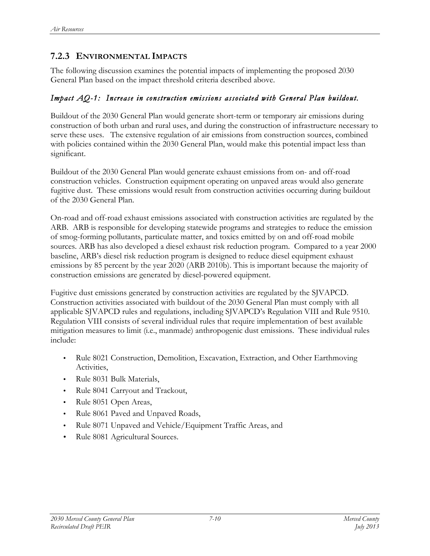# **7.2.3 ENVIRONMENTAL IMPACTS**

The following discussion examines the potential impacts of implementing the proposed 2030 General Plan based on the impact threshold criteria described above.

#### *Impact AQ-1: Increase in construction emissions associated with General Plan buildout.*

Buildout of the 2030 General Plan would generate short-term or temporary air emissions during construction of both urban and rural uses, and during the construction of infrastructure necessary to serve these uses. The extensive regulation of air emissions from construction sources, combined with policies contained within the 2030 General Plan, would make this potential impact less than significant.

Buildout of the 2030 General Plan would generate exhaust emissions from on- and off-road construction vehicles. Construction equipment operating on unpaved areas would also generate fugitive dust. These emissions would result from construction activities occurring during buildout of the 2030 General Plan.

On-road and off-road exhaust emissions associated with construction activities are regulated by the ARB. ARB is responsible for developing statewide programs and strategies to reduce the emission of smog-forming pollutants, particulate matter, and toxics emitted by on and off-road mobile sources. ARB has also developed a diesel exhaust risk reduction program. Compared to a year 2000 baseline, ARB's diesel risk reduction program is designed to reduce diesel equipment exhaust emissions by 85 percent by the year 2020 (ARB 2010b). This is important because the majority of construction emissions are generated by diesel-powered equipment.

Fugitive dust emissions generated by construction activities are regulated by the SJVAPCD. Construction activities associated with buildout of the 2030 General Plan must comply with all applicable SJVAPCD rules and regulations, including SJVAPCD's Regulation VIII and Rule 9510. Regulation VIII consists of several individual rules that require implementation of best available mitigation measures to limit (i.e., manmade) anthropogenic dust emissions. These individual rules include:

- Rule 8021 Construction, Demolition, Excavation, Extraction, and Other Earthmoving Activities,
- Rule 8031 Bulk Materials,
- Rule 8041 Carryout and Trackout,
- Rule 8051 Open Areas,
- Rule 8061 Paved and Unpaved Roads,
- Rule 8071 Unpaved and Vehicle/Equipment Traffic Areas, and
- Rule 8081 Agricultural Sources.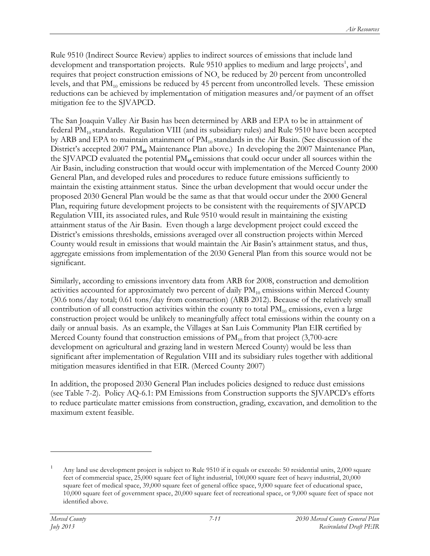Rule 9510 (Indirect Source Review) applies to indirect sources of emissions that include land development and transportation projects. Rule 9510 applies to medium and large projects<sup>1</sup>, and requires that project construction emissions of  $NO<sub>x</sub>$  be reduced by 20 percent from uncontrolled levels, and that  $PM_{10}$  emissions be reduced by 45 percent from uncontrolled levels. These emission reductions can be achieved by implementation of mitigation measures and/or payment of an offset mitigation fee to the SJVAPCD.

The San Joaquin Valley Air Basin has been determined by ARB and EPA to be in attainment of federal  $PM_{10}$  standards. Regulation VIII (and its subsidiary rules) and Rule 9510 have been accepted by ARB and EPA to maintain attainment of  $PM_{10}$  standards in the Air Basin. (See discussion of the District's accepted 2007 PM<sub>10</sub> Maintenance Plan above.) In developing the 2007 Maintenance Plan, the SJVAPCD evaluated the potential PM**10** emissions that could occur under all sources within the Air Basin, including construction that would occur with implementation of the Merced County 2000 General Plan, and developed rules and procedures to reduce future emissions sufficiently to maintain the existing attainment status. Since the urban development that would occur under the proposed 2030 General Plan would be the same as that that would occur under the 2000 General Plan, requiring future development projects to be consistent with the requirements of SJVAPCD Regulation VIII, its associated rules, and Rule 9510 would result in maintaining the existing attainment status of the Air Basin. Even though a large development project could exceed the District's emissions thresholds, emissions averaged over all construction projects within Merced County would result in emissions that would maintain the Air Basin's attainment status, and thus, aggregate emissions from implementation of the 2030 General Plan from this source would not be significant.

Similarly, according to emissions inventory data from ARB for 2008, construction and demolition activities accounted for approximately two percent of daily  $PM_{10}$  emissions within Merced County (30.6 tons/day total; 0.61 tons/day from construction) (ARB 2012). Because of the relatively small contribution of all construction activities within the county to total  $PM_{10}$  emissions, even a large construction project would be unlikely to meaningfully affect total emissions within the county on a daily or annual basis. As an example, the Villages at San Luis Community Plan EIR certified by Merced County found that construction emissions of  $PM_{10}$  from that project (3,700-acre development on agricultural and grazing land in western Merced County) would be less than significant after implementation of Regulation VIII and its subsidiary rules together with additional mitigation measures identified in that EIR. (Merced County 2007)

In addition, the proposed 2030 General Plan includes policies designed to reduce dust emissions (see Table 7-2). Policy AQ-6.1: PM Emissions from Construction supports the SJVAPCD's efforts to reduce particulate matter emissions from construction, grading, excavation, and demolition to the maximum extent feasible.

 $\overline{a}$ 

Any land use development project is subject to Rule 9510 if it equals or exceeds: 50 residential units, 2,000 square feet of commercial space, 25,000 square feet of light industrial, 100,000 square feet of heavy industrial, 20,000 square feet of medical space, 39,000 square feet of general office space, 9,000 square feet of educational space, 10,000 square feet of government space, 20,000 square feet of recreational space, or 9,000 square feet of space not identified above.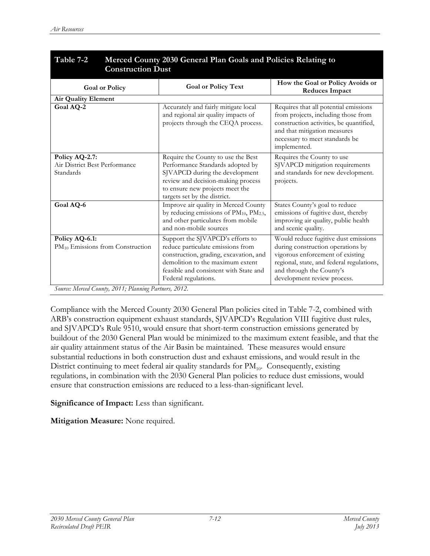| Table 7-2<br>Merced County 2030 General Plan Goals and Policies Relating to<br><b>Construction Dust</b>          |                                                                                                                                                                                                                       |                                                                                                                                                                                                                       |  |  |
|------------------------------------------------------------------------------------------------------------------|-----------------------------------------------------------------------------------------------------------------------------------------------------------------------------------------------------------------------|-----------------------------------------------------------------------------------------------------------------------------------------------------------------------------------------------------------------------|--|--|
| <b>Goal or Policy</b>                                                                                            | <b>Goal or Policy Text</b>                                                                                                                                                                                            | How the Goal or Policy Avoids or<br><b>Reduces Impact</b>                                                                                                                                                             |  |  |
| <b>Air Quality Element</b>                                                                                       |                                                                                                                                                                                                                       |                                                                                                                                                                                                                       |  |  |
| Goal AQ-2                                                                                                        | Accurately and fairly mitigate local<br>and regional air quality impacts of<br>projects through the CEQA process.                                                                                                     | Requires that all potential emissions<br>from projects, including those from<br>construction activities, be quantified,<br>and that mitigation measures<br>necessary to meet standards be<br>implemented.             |  |  |
| Policy AQ-2.7:<br>Air District Best Performance<br>Standards                                                     | Require the County to use the Best<br>Performance Standards adopted by<br>SJVAPCD during the development<br>review and decision-making process<br>to ensure new projects meet the<br>targets set by the district.     | Requires the County to use<br>SJVAPCD mitigation requirements<br>and standards for new development.<br>projects.                                                                                                      |  |  |
| Goal AQ-6                                                                                                        | Improve air quality in Merced County<br>by reducing emissions of $PM_{10}$ , $PM_{2.5}$ ,<br>and other particulates from mobile<br>and non-mobile sources                                                             | States County's goal to reduce<br>emissions of fugitive dust, thereby<br>improving air quality, public health<br>and scenic quality.                                                                                  |  |  |
| Policy AQ-6.1:<br>$PM_{10}$ Emissions from Construction<br>Source: Merced County, 2011; Planning Partners, 2012. | Support the SJVAPCD's efforts to<br>reduce particulate emissions from<br>construction, grading, excavation, and<br>demolition to the maximum extent<br>feasible and consistent with State and<br>Federal regulations. | Would reduce fugitive dust emissions<br>during construction operations by<br>vigorous enforcement of existing<br>regional, state, and federal regulations,<br>and through the County's<br>development review process. |  |  |

Compliance with the Merced County 2030 General Plan policies cited in Table 7-2, combined with ARB's construction equipment exhaust standards, SJVAPCD's Regulation VIII fugitive dust rules, and SJVAPCD's Rule 9510, would ensure that short-term construction emissions generated by buildout of the 2030 General Plan would be minimized to the maximum extent feasible, and that the air quality attainment status of the Air Basin be maintained. These measures would ensure substantial reductions in both construction dust and exhaust emissions, and would result in the District continuing to meet federal air quality standards for  $PM_{10}$ . Consequently, existing regulations, in combination with the 2030 General Plan policies to reduce dust emissions, would ensure that construction emissions are reduced to a less-than-significant level.

#### **Significance of Impact:** Less than significant.

**Mitigation Measure:** None required.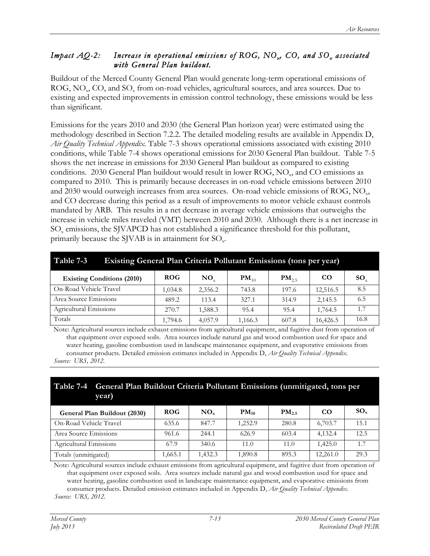#### *Impact AQ-2:* Increase in operational emissions of ROG, NO<sub>x</sub>, CO, and SO<sub>x</sub> associated *with General Plan buildout.*

Buildout of the Merced County General Plan would generate long-term operational emissions of ROG, NO<sub>y</sub>, CO, and SO<sub>y</sub> from on-road vehicles, agricultural sources, and area sources. Due to existing and expected improvements in emission control technology, these emissions would be less than significant.

Emissions for the years 2010 and 2030 (the General Plan horizon year) were estimated using the methodology described in Section 7.2.2. The detailed modeling results are available in Appendix D, *Air Quality Technical Appendix.* Table 7-3 shows operational emissions associated with existing 2010 conditions, while Table 7-4 shows operational emissions for 2030 General Plan buildout. Table 7-5 shows the net increase in emissions for 2030 General Plan buildout as compared to existing conditions. 2030 General Plan buildout would result in lower ROG,  $NO<sub>x</sub>$ , and CO emissions as compared to 2010. This is primarily because decreases in on-road vehicle emissions between 2010 and  $2030$  would outweigh increases from area sources. On-road vehicle emissions of ROG,  $NO<sub>x</sub>$ , and CO decrease during this period as a result of improvements to motor vehicle exhaust controls mandated by ARB. This results in a net decrease in average vehicle emissions that outweighs the increase in vehicle miles traveled (VMT) between 2010 and 2030. Although there is a net increase in  $SO<sub>x</sub>$  emissions, the SJVAPCD has not established a significance threshold for this pollutant, primarily because the SJVAB is in attainment for  $SO_x$ .

| Table 7-3<br><b>Existing General Plan Criteria Pollutant Emissions (tons per year)</b> |            |          |           |            |          |              |
|----------------------------------------------------------------------------------------|------------|----------|-----------|------------|----------|--------------|
| <b>Existing Conditions (2010)</b>                                                      | <b>ROG</b> | $NO_{v}$ | $PM_{10}$ | $PM_{2.5}$ | CO.      | $SO_{\rm v}$ |
| On-Road Vehicle Travel                                                                 | 1,034.8    | 2,356.2  | 743.8     | 197.6      | 12,516.5 | 8.5          |
| Area Source Emissions                                                                  | 489.2      | 113.4    | 327.1     | 314.9      | 2,145.5  | 6.5          |
| Agricultural Emissions                                                                 | 270.7      | 1,588.3  | 95.4      | 95.4       | 1,764.5  | 1.7          |
| Totals                                                                                 | 1,794.6    | 4,057.9  | 1,166.3   | 607.8      | 16,426.5 | 16.8         |

Note: Agricultural sources include exhaust emissions from agricultural equipment, and fugitive dust from operation of that equipment over exposed soils. Area sources include natural gas and wood combustion used for space and water heating, gasoline combustion used in landscape maintenance equipment, and evaporative emissions from consumer products. Detailed emission estimates included in Appendix D, *Air Quality Technical Appendix. Source: URS, 2012.*

| vear)                        | Table 7-4 General Plan Buildout Criteria Pollutant Emissions (unmitigated, tons per |     |           |                   |    |          |
|------------------------------|-------------------------------------------------------------------------------------|-----|-----------|-------------------|----|----------|
| General Plan Buildout (2030) | <b>ROG</b>                                                                          | NO. | $PM_{10}$ | PM <sub>2.5</sub> | CO | $SO_{x}$ |

| General Plan Buildout (2030) | <b>ROG</b> | $\bf N\bf O_x$ | $PM_{10}$ | $PM_{2.5}$ | CΟ       | $3V_{x}$ |
|------------------------------|------------|----------------|-----------|------------|----------|----------|
| On-Road Vehicle Travel       | 635.6      | 847.7          | 1,252.9   | 280.8      | 6,703.7  | 15.1     |
| Area Source Emissions        | 961.6      | 244.1          | 626.9     | 603.4      | 4.132.4  | 12.5     |
| Agricultural Emissions       | 67.9       | 340.6          | 11.0      | 11.0       | 1.425.0  |          |
| Totals (unmitigated)         | .665.1     | 1.432.3        | 1,890.8   | 895.3      | 12.261.0 | 29.3     |

Note: Agricultural sources include exhaust emissions from agricultural equipment, and fugitive dust from operation of that equipment over exposed soils. Area sources include natural gas and wood combustion used for space and water heating, gasoline combustion used in landscape maintenance equipment, and evaporative emissions from consumer products. Detailed emission estimates included in Appendix D, *Air Quality Technical Appendix. Source: URS, 2012.*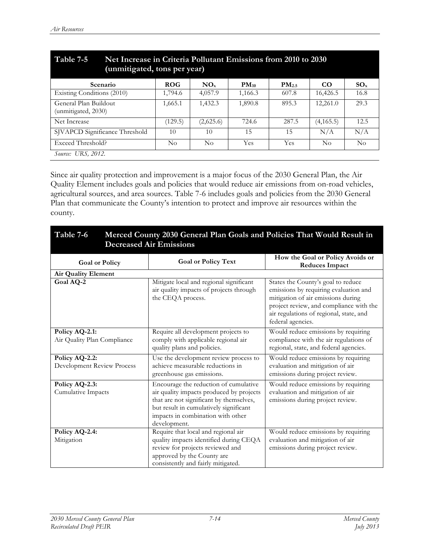| Table 7-5<br>Net Increase in Criteria Pollutant Emissions from 2010 to 2030<br>(unmitigated, tons per year) |            |           |           |                   |                    |          |
|-------------------------------------------------------------------------------------------------------------|------------|-----------|-----------|-------------------|--------------------|----------|
| <b>Scenario</b>                                                                                             | <b>ROG</b> | $NO_{x}$  | $PM_{10}$ | PM <sub>2.5</sub> | CO <sub>1</sub>    | $SO_{x}$ |
| Existing Conditions (2010)                                                                                  | 1,794.6    | 4,057.9   | 1,166.3   | 607.8             | 16,426.5           | 16.8     |
| General Plan Buildout<br>(unmitigated, 2030)                                                                | 1,665.1    | 1,432.3   | 1,890.8   | 895.3             | 12,261.0           | 29.3     |
| Net Increase                                                                                                | (129.5)    | (2,625.6) | 724.6     | 287.5             | (4,165.5)          | 12.5     |
| SJVAPCD Significance Threshold                                                                              | 10         | 10        | 15        | 15                | N/A                | N/A      |
| Exceed Threshold?                                                                                           | No         | No        | Yes       | Yes               | $\overline{N}_{0}$ | $\rm No$ |
| Source: URS, 2012.                                                                                          |            |           |           |                   |                    |          |

Since air quality protection and improvement is a major focus of the 2030 General Plan, the Air Quality Element includes goals and policies that would reduce air emissions from on-road vehicles, agricultural sources, and area sources. Table 7-6 includes goals and policies from the 2030 General Plan that communicate the County's intention to protect and improve air resources within the county.

| Table 7-6<br>Merced County 2030 General Plan Goals and Policies That Would Result in<br><b>Decreased Air Emissions</b> |                                                                                                                                                                                                                             |                                                                                                                                                                                                                              |  |  |
|------------------------------------------------------------------------------------------------------------------------|-----------------------------------------------------------------------------------------------------------------------------------------------------------------------------------------------------------------------------|------------------------------------------------------------------------------------------------------------------------------------------------------------------------------------------------------------------------------|--|--|
| <b>Goal or Policy</b>                                                                                                  | <b>Goal or Policy Text</b>                                                                                                                                                                                                  | How the Goal or Policy Avoids or<br><b>Reduces Impact</b>                                                                                                                                                                    |  |  |
| <b>Air Quality Element</b>                                                                                             |                                                                                                                                                                                                                             |                                                                                                                                                                                                                              |  |  |
| Goal AQ-2                                                                                                              | Mitigate local and regional significant<br>air quality impacts of projects through<br>the CEQA process.                                                                                                                     | States the County's goal to reduce<br>emissions by requiring evaluation and<br>mitigation of air emissions during<br>project review, and compliance with the<br>air regulations of regional, state, and<br>federal agencies. |  |  |
| Policy AQ-2.1:<br>Air Quality Plan Compliance                                                                          | Require all development projects to<br>comply with applicable regional air<br>quality plans and policies.                                                                                                                   | Would reduce emissions by requiring<br>compliance with the air regulations of<br>regional, state, and federal agencies.                                                                                                      |  |  |
| Policy AQ-2.2:<br><b>Development Review Process</b>                                                                    | Use the development review process to<br>achieve measurable reductions in<br>greenhouse gas emissions.                                                                                                                      | Would reduce emissions by requiring<br>evaluation and mitigation of air<br>emissions during project review.                                                                                                                  |  |  |
| Policy AQ-2.3:<br>Cumulative Impacts                                                                                   | Encourage the reduction of cumulative<br>air quality impacts produced by projects<br>that are not significant by themselves,<br>but result in cumulatively significant<br>impacts in combination with other<br>development. | Would reduce emissions by requiring<br>evaluation and mitigation of air<br>emissions during project review.                                                                                                                  |  |  |
| Policy AQ-2.4:<br>Mitigation                                                                                           | Require that local and regional air<br>quality impacts identified during CEQA<br>review for projects reviewed and<br>approved by the County are<br>consistently and fairly mitigated.                                       | Would reduce emissions by requiring<br>evaluation and mitigation of air<br>emissions during project review.                                                                                                                  |  |  |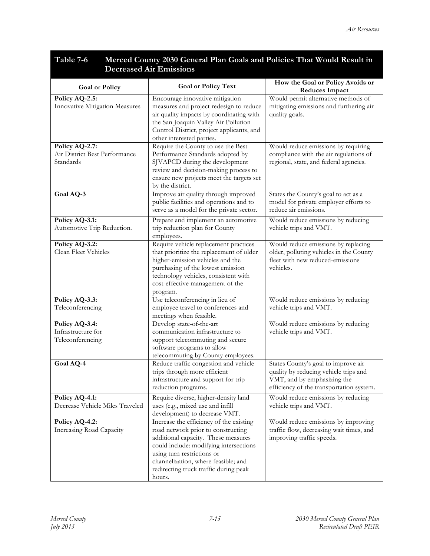#### **Table 7-6 Merced County 2030 General Plan Goals and Policies That Would Result in Decreased Air Emissions**

| <b>Goal or Policy</b>                                        | <b>Goal or Policy Text</b>                                                                                                                                                                                                                                                             | How the Goal or Policy Avoids or                                                                                                                        |
|--------------------------------------------------------------|----------------------------------------------------------------------------------------------------------------------------------------------------------------------------------------------------------------------------------------------------------------------------------------|---------------------------------------------------------------------------------------------------------------------------------------------------------|
| Policy AQ-2.5:<br>Innovative Mitigation Measures             | Encourage innovative mitigation<br>measures and project redesign to reduce<br>air quality impacts by coordinating with<br>the San Joaquin Valley Air Pollution<br>Control District, project applicants, and<br>other interested parties.                                               | <b>Reduces Impact</b><br>Would permit alternative methods of<br>mitigating emissions and furthering air<br>quality goals.                               |
| Policy AQ-2.7:<br>Air District Best Performance<br>Standards | Require the County to use the Best<br>Performance Standards adopted by<br>SJVAPCD during the development<br>review and decision-making process to<br>ensure new projects meet the targets set<br>by the district.                                                                      | Would reduce emissions by requiring<br>compliance with the air regulations of<br>regional, state, and federal agencies.                                 |
| Goal AQ-3                                                    | Improve air quality through improved<br>public facilities and operations and to<br>serve as a model for the private sector.                                                                                                                                                            | States the County's goal to act as a<br>model for private employer efforts to<br>reduce air emissions.                                                  |
| Policy AQ-3.1:<br>Automotive Trip Reduction.                 | Prepare and implement an automotive<br>trip reduction plan for County<br>employees.                                                                                                                                                                                                    | Would reduce emissions by reducing<br>vehicle trips and VMT.                                                                                            |
| Policy AQ-3.2:<br>Clean Fleet Vehicles                       | Require vehicle replacement practices<br>that prioritize the replacement of older<br>higher-emission vehicles and the<br>purchasing of the lowest emission<br>technology vehicles, consistent with<br>cost-effective management of the<br>program.                                     | Would reduce emissions by replacing<br>older, polluting vehicles in the County<br>fleet with new reduced-emissions<br>vehicles.                         |
| Policy AQ-3.3:<br>Teleconferencing                           | Use teleconferencing in lieu of<br>employee travel to conferences and<br>meetings when feasible.                                                                                                                                                                                       | Would reduce emissions by reducing<br>vehicle trips and VMT.                                                                                            |
| Policy AQ-3.4:<br>Infrastructure for<br>Teleconferencing     | Develop state-of-the-art<br>communication infrastructure to<br>support telecommuting and secure<br>software programs to allow<br>telecommuting by County employees.                                                                                                                    | Would reduce emissions by reducing<br>vehicle trips and VMT.                                                                                            |
| Goal AQ-4                                                    | Reduce traffic congestion and vehicle<br>trips through more efficient<br>infrastructure and support for trip<br>reduction programs.                                                                                                                                                    | States County's goal to improve air<br>quality by reducing vehicle trips and<br>VMT, and by emphasizing the<br>efficiency of the transportation system. |
| Policy AQ-4.1:<br>Decrease Vehicle Miles Traveled            | Require diverse, higher-density land<br>uses (e.g., mixed use and infill<br>development) to decrease VMT.                                                                                                                                                                              | Would reduce emissions by reducing<br>vehicle trips and VMT.                                                                                            |
| Policy AQ-4.2:<br>Increasing Road Capacity                   | Increase the efficiency of the existing<br>road network prior to constructing<br>additional capacity. These measures<br>could include: modifying intersections<br>using turn restrictions or<br>channelization, where feasible; and<br>redirecting truck traffic during peak<br>hours. | Would reduce emissions by improving<br>traffic flow, decreasing wait times, and<br>improving traffic speeds.                                            |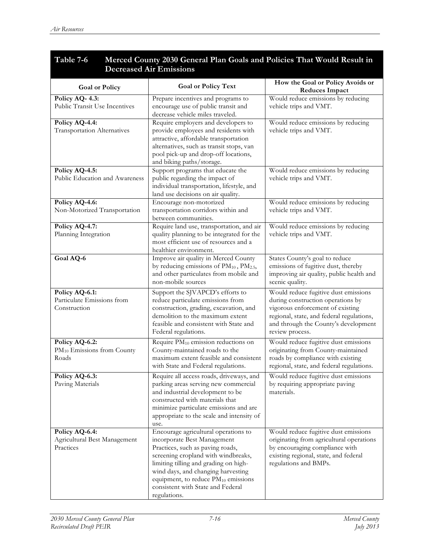#### **Table 7-6 Merced County 2030 General Plan Goals and Policies That Would Result in Decreased Air Emissions**

| <b>Goal or Policy</b>                                             | <b>Goal or Policy Text</b>                                                                                                                                                                                                                                                                                                     | How the Goal or Policy Avoids or<br><b>Reduces Impact</b>                                                                                                                                                             |
|-------------------------------------------------------------------|--------------------------------------------------------------------------------------------------------------------------------------------------------------------------------------------------------------------------------------------------------------------------------------------------------------------------------|-----------------------------------------------------------------------------------------------------------------------------------------------------------------------------------------------------------------------|
| Policy AQ- 4.3:<br>Public Transit Use Incentives                  | Prepare incentives and programs to<br>encourage use of public transit and<br>decrease vehicle miles traveled.                                                                                                                                                                                                                  | Would reduce emissions by reducing<br>vehicle trips and VMT.                                                                                                                                                          |
| Policy AQ-4.4:<br><b>Transportation Alternatives</b>              | Require employers and developers to<br>provide employees and residents with<br>attractive, affordable transportation<br>alternatives, such as transit stops, van<br>pool pick-up and drop-off locations,<br>and biking paths/storage.                                                                                          | Would reduce emissions by reducing<br>vehicle trips and VMT.                                                                                                                                                          |
| Policy AQ-4.5:<br>Public Education and Awareness                  | Support programs that educate the<br>public regarding the impact of<br>individual transportation, lifestyle, and<br>land use decisions on air quality.                                                                                                                                                                         | Would reduce emissions by reducing<br>vehicle trips and VMT.                                                                                                                                                          |
| Policy AQ-4.6:<br>Non-Motorized Transportation                    | Encourage non-motorized<br>transportation corridors within and<br>between communities.                                                                                                                                                                                                                                         | Would reduce emissions by reducing<br>vehicle trips and VMT.                                                                                                                                                          |
| Policy AQ-4.7:<br>Planning Integration                            | Require land use, transportation, and air<br>quality planning to be integrated for the<br>most efficient use of resources and a<br>healthier environment.                                                                                                                                                                      | Would reduce emissions by reducing<br>vehicle trips and VMT.                                                                                                                                                          |
| Goal AQ-6                                                         | Improve air quality in Merced County<br>by reducing emissions of $PM_{10}$ , $PM_{2.5}$ ,<br>and other particulates from mobile and<br>non-mobile sources                                                                                                                                                                      | States County's goal to reduce<br>emissions of fugitive dust, thereby<br>improving air quality, public health and<br>scenic quality.                                                                                  |
| Policy AQ-6.1:<br>Particulate Emissions from<br>Construction      | Support the SJVAPCD's efforts to<br>reduce particulate emissions from<br>construction, grading, excavation, and<br>demolition to the maximum extent<br>feasible and consistent with State and<br>Federal regulations.                                                                                                          | Would reduce fugitive dust emissions<br>during construction operations by<br>vigorous enforcement of existing<br>regional, state, and federal regulations,<br>and through the County's development<br>review process. |
| Policy AQ-6.2:<br>PM <sub>10</sub> Emissions from County<br>Roads | Require PM <sub>10</sub> emission reductions on<br>County-maintained roads to the<br>maximum extent feasible and consistent<br>with State and Federal regulations.                                                                                                                                                             | Would reduce fugitive dust emissions<br>originating from County-maintained<br>roads by compliance with existing<br>regional, state, and federal regulations.                                                          |
| Policy AQ-6.3:<br>Paving Materials                                | Require all access roads, driveways, and<br>parking areas serving new commercial<br>and industrial development to be<br>constructed with materials that<br>minimize particulate emissions and are<br>appropriate to the scale and intensity of<br>use.                                                                         | Would reduce fugitive dust emissions<br>by requiring appropriate paving<br>materials.                                                                                                                                 |
| Policy AQ-6.4:<br>Agricultural Best Management<br>Practices       | Encourage agricultural operations to<br>incorporate Best Management<br>Practices, such as paving roads,<br>screening cropland with windbreaks,<br>limiting tilling and grading on high-<br>wind days, and changing harvesting<br>equipment, to reduce $PM_{10}$ emissions<br>consistent with State and Federal<br>regulations. | Would reduce fugitive dust emissions<br>originating from agricultural operations<br>by encouraging compliance with<br>existing regional, state, and federal<br>regulations and BMPs.                                  |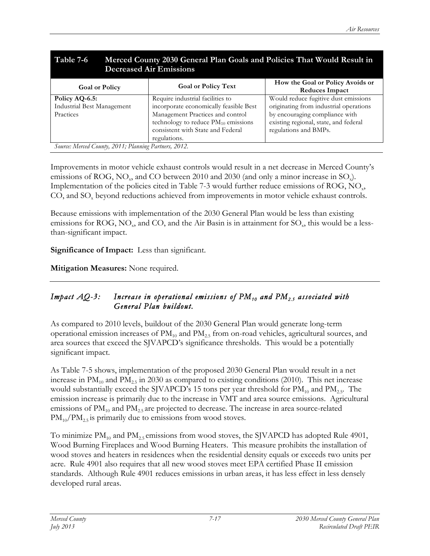| Table 7-6<br>Merced County 2030 General Plan Goals and Policies That Would Result in<br><b>Decreased Air Emissions</b> |                                          |                                                    |  |  |
|------------------------------------------------------------------------------------------------------------------------|------------------------------------------|----------------------------------------------------|--|--|
| <b>Goal or Policy</b>                                                                                                  | <b>Goal or Policy Text</b>               | How the Goal or Policy Avoids or<br>Reduces Impact |  |  |
| Policy AQ-6.5:                                                                                                         | Require industrial facilities to         | Would reduce fugitive dust emissions               |  |  |
| <b>Industrial Best Management</b>                                                                                      | incorporate economically feasible Best   | originating from industrial operations             |  |  |
| Practices                                                                                                              | Management Practices and control         | by encouraging compliance with                     |  |  |
|                                                                                                                        | technology to reduce $PM_{10}$ emissions | existing regional, state, and federal              |  |  |
|                                                                                                                        | consistent with State and Federal        | regulations and BMPs.                              |  |  |
|                                                                                                                        | regulations.                             |                                                    |  |  |
| Source: Merced County, 2011; Planning Partners, 2012.                                                                  |                                          |                                                    |  |  |

Improvements in motor vehicle exhaust controls would result in a net decrease in Merced County's emissions of  $\text{ROG}, \text{NO}_x$ , and CO between 2010 and 2030 (and only a minor increase in SO<sub>x</sub>). Implementation of the policies cited in Table 7-3 would further reduce emissions of ROG,  $NO<sub>x</sub>$ , CO, and  $SO<sub>x</sub>$  beyond reductions achieved from improvements in motor vehicle exhaust controls.

Because emissions with implementation of the 2030 General Plan would be less than existing emissions for ROG, NO<sub>y</sub>, and CO, and the Air Basin is in attainment for  $SO<sub>x</sub>$ , this would be a lessthan-significant impact.

**Significance of Impact:** Less than significant.

**Mitigation Measures:** None required.

#### *Impact AQ-3:* Increase in operational emissions of PM<sub>10</sub> and PM<sub>2.5</sub> associated with *General Plan buildout.*

As compared to 2010 levels, buildout of the 2030 General Plan would generate long-term operational emission increases of  $PM_{10}$  and  $PM_{2.5}$  from on-road vehicles, agricultural sources, and area sources that exceed the SJVAPCD's significance thresholds. This would be a potentially significant impact.

As Table 7-5 shows, implementation of the proposed 2030 General Plan would result in a net increase in  $PM_{10}$  and  $PM_{2.5}$  in 2030 as compared to existing conditions (2010). This net increase would substantially exceed the SJVAPCD's 15 tons per year threshold for  $PM_{10}$  and  $PM_{2.5}$ . The emission increase is primarily due to the increase in VMT and area source emissions. Agricultural emissions of  $\text{PM}_{10}$  and  $\text{PM}_{25}$  are projected to decrease. The increase in area source-related  $\text{PM}_{10}/\text{PM}_{2.5}$  is primarily due to emissions from wood stoves.

To minimize  $PM_{10}$  and  $PM_{2.5}$  emissions from wood stoves, the SJVAPCD has adopted Rule 4901, Wood Burning Fireplaces and Wood Burning Heaters. This measure prohibits the installation of wood stoves and heaters in residences when the residential density equals or exceeds two units per acre. Rule 4901 also requires that all new wood stoves meet EPA certified Phase II emission standards. Although Rule 4901 reduces emissions in urban areas, it has less effect in less densely developed rural areas.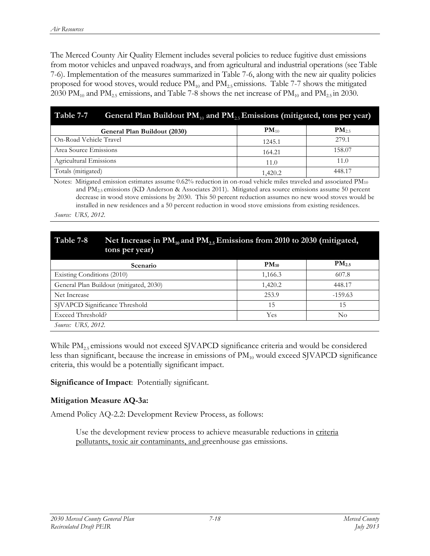The Merced County Air Quality Element includes several policies to reduce fugitive dust emissions from motor vehicles and unpaved roadways, and from agricultural and industrial operations (see Table 7-6). Implementation of the measures summarized in Table 7-6, along with the new air quality policies proposed for wood stoves, would reduce  $PM_{10}$  and  $PM_{2.5}$  emissions. Table 7-7 shows the mitigated 2030 PM<sub>10</sub> and PM<sub>2.5</sub> emissions, and Table 7-8 shows the net increase of PM<sub>10</sub> and PM<sub>2.5</sub> in 2030.

| Table 7-7<br>General Plan Buildout $PM_{10}$ and $PM_{25}$ Emissions (mitigated, tons per year) |           |            |  |  |
|-------------------------------------------------------------------------------------------------|-----------|------------|--|--|
| General Plan Buildout (2030)                                                                    | $PM_{10}$ | $PM_{2.5}$ |  |  |
| On-Road Vehicle Travel                                                                          | 1245.1    | 279.1      |  |  |
| Area Source Emissions                                                                           | 164.21    | 158.07     |  |  |
| Agricultural Emissions                                                                          | 11.0      | 11.0       |  |  |
| Totals (mitigated)                                                                              | 1,420.2   | 448.17     |  |  |

Notes: Mitigated emission estimates assume  $0.62\%$  reduction in on-road vehicle miles traveled and associated  $PM_{10}$ and PM2.5 emissions (KD Anderson & Associates 2011). Mitigated area source emissions assume 50 percent decrease in wood stove emissions by 2030. This 50 percent reduction assumes no new wood stoves would be installed in new residences and a 50 percent reduction in wood stove emissions from existing residences. *Source: URS, 2012.*

# Table 7-8 Net Increase in PM<sub>10</sub> and PM<sub>2.5</sub> Emissions from 2010 to 2030 (mitigated, **tons per year)**

| <b>Scenario</b>                         | $PM_{10}$ | $PM_{2.5}$ |
|-----------------------------------------|-----------|------------|
| Existing Conditions (2010)              | 1,166.3   | 607.8      |
| General Plan Buildout (mitigated, 2030) | 1,420.2   | 448.17     |
| Net Increase                            | 253.9     | $-159.63$  |
| SJVAPCD Significance Threshold          | 15        | 15         |
| Exceed Threshold?                       | Yes       | No         |
| <i>Source:</i> URS, 2012.               |           |            |

While PM<sub>2.5</sub> emissions would not exceed SJVAPCD significance criteria and would be considered less than significant, because the increase in emissions of PM<sub>10</sub> would exceed SJVAPCD significance criteria, this would be a potentially significant impact.

**Significance of Impact**: Potentially significant.

#### **Mitigation Measure AQ-3a:**

Amend Policy AQ-2.2: Development Review Process, as follows:

Use the development review process to achieve measurable reductions in criteria pollutants, toxic air contaminants, and greenhouse gas emissions.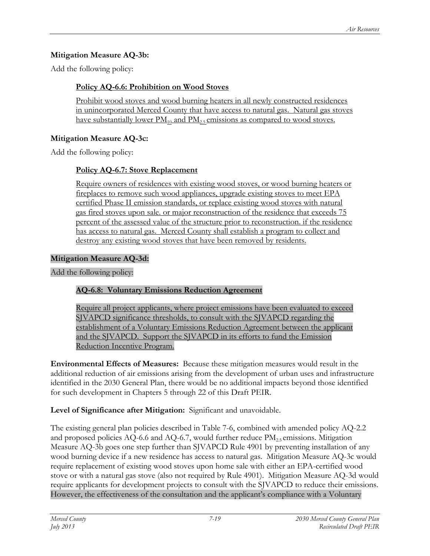#### **Mitigation Measure AQ-3b:**

Add the following policy:

#### **Policy AQ-6.6: Prohibition on Wood Stoves**

Prohibit wood stoves and wood burning heaters in all newly constructed residences in unincorporated Merced County that have access to natural gas. Natural gas stoves have substantially lower  $PM_{10}$  and  $PM_{25}$  emissions as compared to wood stoves.

#### **Mitigation Measure AQ-3c:**

Add the following policy:

### **Policy AQ-6.7: Stove Replacement**

Require owners of residences with existing wood stoves, or wood burning heaters or fireplaces to remove such wood appliances, upgrade existing stoves to meet EPA certified Phase II emission standards, or replace existing wood stoves with natural gas fired stoves upon sale. or major reconstruction of the residence that exceeds 75 percent of the assessed value of the structure prior to reconstruction. if the residence has access to natural gas. Merced County shall establish a program to collect and destroy any existing wood stoves that have been removed by residents.

#### **Mitigation Measure AQ-3d:**

Add the following policy:

# **AQ-6.8: Voluntary Emissions Reduction Agreement**

Require all project applicants, where project emissions have been evaluated to exceed SJVAPCD significance thresholds, to consult with the SJVAPCD regarding the establishment of a Voluntary Emissions Reduction Agreement between the applicant and the SJVAPCD. Support the SJVAPCD in its efforts to fund the Emission Reduction Incentive Program.

**Environmental Effects of Measures:** Because these mitigation measures would result in the additional reduction of air emissions arising from the development of urban uses and infrastructure identified in the 2030 General Plan, there would be no additional impacts beyond those identified for such development in Chapters 5 through 22 of this Draft PEIR.

# **Level of Significance after Mitigation:** Significant and unavoidable.

The existing general plan policies described in Table 7-6, combined with amended policy AQ-2.2 and proposed policies AQ-6.6 and AQ-6.7, would further reduce  $PM_{25}$  emissions. Mitigation Measure AQ-3b goes one step further than SJVAPCD Rule 4901 by preventing installation of any wood burning device if a new residence has access to natural gas. Mitigation Measure AQ-3c would require replacement of existing wood stoves upon home sale with either an EPA-certified wood stove or with a natural gas stove (also not required by Rule 4901). Mitigation Measure AQ-3d would require applicants for development projects to consult with the SJVAPCD to reduce their emissions. However, the effectiveness of the consultation and the applicant's compliance with a Voluntary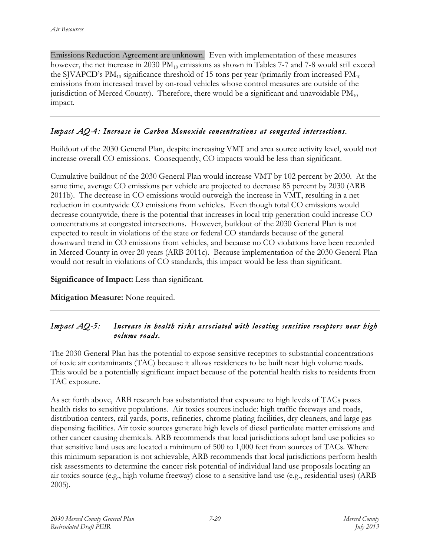Emissions Reduction Agreement are unknown. Even with implementation of these measures however, the net increase in 2030  $PM_{10}$  emissions as shown in Tables 7-7 and 7-8 would still exceed the SJVAPCD's  $PM_{10}$  significance threshold of 15 tons per year (primarily from increased  $PM_{10}$ ) emissions from increased travel by on-road vehicles whose control measures are outside of the jurisdiction of Merced County). Therefore, there would be a significant and unavoidable  $PM_{10}$ impact.

#### *Impact AQ-4: Increase in Carbon Monoxide concentrations at congested intersections.*

Buildout of the 2030 General Plan, despite increasing VMT and area source activity level, would not increase overall CO emissions. Consequently, CO impacts would be less than significant.

Cumulative buildout of the 2030 General Plan would increase VMT by 102 percent by 2030. At the same time, average CO emissions per vehicle are projected to decrease 85 percent by 2030 (ARB 2011b). The decrease in CO emissions would outweigh the increase in VMT, resulting in a net reduction in countywide CO emissions from vehicles. Even though total CO emissions would decrease countywide, there is the potential that increases in local trip generation could increase CO concentrations at congested intersections. However, buildout of the 2030 General Plan is not expected to result in violations of the state or federal CO standards because of the general downward trend in CO emissions from vehicles, and because no CO violations have been recorded in Merced County in over 20 years (ARB 2011c). Because implementation of the 2030 General Plan would not result in violations of CO standards, this impact would be less than significant.

**Significance of Impact:** Less than significant.

**Mitigation Measure:** None required.

#### *Impact AQ-5: Increase in health risks associated with locating sensitive receptors near high volume roads.*

The 2030 General Plan has the potential to expose sensitive receptors to substantial concentrations of toxic air contaminants (TAC) because it allows residences to be built near high volume roads. This would be a potentially significant impact because of the potential health risks to residents from TAC exposure.

As set forth above,ARB research has substantiated that exposure to high levels of TACs poses health risks to sensitive populations. Air toxics sources include: high traffic freeways and roads, distribution centers, rail yards, ports, refineries, chrome plating facilities, dry cleaners, and large gas dispensing facilities. Air toxic sources generate high levels of diesel particulate matter emissions and other cancer causing chemicals. ARB recommends that local jurisdictions adopt land use policies so that sensitive land uses are located a minimum of 500 to 1,000 feet from sources of TACs. Where this minimum separation is not achievable, ARB recommends that local jurisdictions perform health risk assessments to determine the cancer risk potential of individual land use proposals locating an air toxics source (e.g., high volume freeway) close to a sensitive land use (e.g., residential uses) (ARB 2005).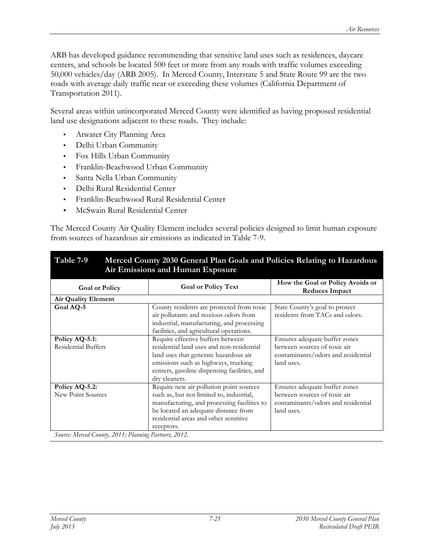ARB has developed guidance recommending that sensitive land uses such as residences, daycare centers, and schools be located 500 feet or more from any roads with traffic volumes exceeding 50,000 vehicles/day (ARB 2005). In Merced County, Interstate 5 and State Route 99 are the two roads with average daily traffic near or exceeding these volumes (California Department of Transportation 2011).

Several areas within unincorporated Merced County were identified as having proposed residential land use designations adjacent to these roads. They include:

- Atwater City Planning Area
- Delhi Urban Community
- Fox Hills Urban Community
- Franklin-Beachwood Urban Community
- Santa Nella Urban Community
- Delhi Rural Residential Center
- Franklin-Beachwood Rural Residential Center
- McSwain Rural Residential Center

The Merced County Air Quality Element includes several policies designed to limit human exposure from sources of hazardous air emissions as indicated in Table 7-9.

|                                                                                                                                                                                                                                   | Table 7-9<br>Merced County 2030 General Plan Goals and Policies Relating to Hazardous<br>Air Emissions and Human Exposure |  |  |  |
|-----------------------------------------------------------------------------------------------------------------------------------------------------------------------------------------------------------------------------------|---------------------------------------------------------------------------------------------------------------------------|--|--|--|
| <b>Goal or Policy Text</b>                                                                                                                                                                                                        | How the Goal or Policy Avoids or<br><b>Reduces Impact</b>                                                                 |  |  |  |
|                                                                                                                                                                                                                                   |                                                                                                                           |  |  |  |
| County residents are protected from toxic<br>air pollutants and noxious odors from<br>industrial, manufacturing, and processing<br>facilities, and agricultural operations.                                                       | State County's goal to protect<br>residents from TACs and odors.                                                          |  |  |  |
| Require effective buffers between<br>residential land uses and non-residential<br>land uses that generate hazardous air<br>emissions such as highways, trucking<br>centers, gasoline dispensing facilities, and<br>dry cleaners.  | Ensures adequate buffer zones<br>between sources of toxic air<br>contaminants/odors and residential<br>land uses.         |  |  |  |
| Require new air pollution point sources<br>such as, but not limited to, industrial,<br>manufacturing, and processing facilities to<br>be located an adequate distance from<br>residential areas and other sensitive<br>receptors. | Ensures adequate buffer zones<br>between sources of toxic air<br>contaminants/odors and residential<br>land uses.         |  |  |  |
|                                                                                                                                                                                                                                   | Source: Merced County, 2011; Planning Partners, 2012.                                                                     |  |  |  |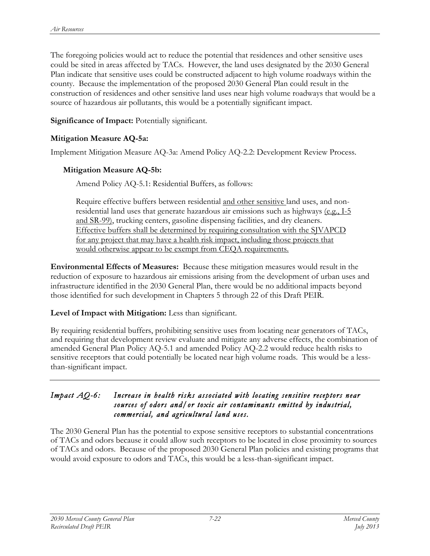The foregoing policies would act to reduce the potential that residences and other sensitive uses could be sited in areas affected by TACs. However, the land uses designated by the 2030 General Plan indicate that sensitive uses could be constructed adjacent to high volume roadways within the county. Because the implementation of the proposed 2030 General Plan could result in the construction of residences and other sensitive land uses near high volume roadways that would be a source of hazardous air pollutants, this would be a potentially significant impact.

**Significance of Impact:** Potentially significant.

#### **Mitigation Measure AQ-5a:**

Implement Mitigation Measure AQ-3a: Amend Policy AQ-2.2: Development Review Process.

#### **Mitigation Measure AQ-5b:**

Amend Policy AQ-5.1: Residential Buffers, as follows:

Require effective buffers between residential and other sensitive land uses, and nonresidential land uses that generate hazardous air emissions such as highways  $(e.g., I-5)$ and SR-99), trucking centers, gasoline dispensing facilities, and dry cleaners. Effective buffers shall be determined by requiring consultation with the SJVAPCD for any project that may have a health risk impact, including those projects that would otherwise appear to be exempt from CEQA requirements.

**Environmental Effects of Measures:** Because these mitigation measures would result in the reduction of exposure to hazardous air emissions arising from the development of urban uses and infrastructure identified in the 2030 General Plan, there would be no additional impacts beyond those identified for such development in Chapters 5 through 22 of this Draft PEIR.

#### **Level of Impact with Mitigation:** Less than significant.

By requiring residential buffers, prohibiting sensitive uses from locating near generators of TACs, and requiring that development review evaluate and mitigate any adverse effects, the combination of amended General Plan Policy AQ-5.1 and amended Policy AQ-2.2 would reduce health risks to sensitive receptors that could potentially be located near high volume roads. This would be a lessthan-significant impact.

#### *Impact AQ-6: Increase in health risks associated with locating sensitive receptors near sources of odors and/or toxic air contaminants emitted by industrial, commercial, and agricultural land uses.*

The 2030 General Plan has the potential to expose sensitive receptors to substantial concentrations of TACs and odors because it could allow such receptors to be located in close proximity to sources of TACs and odors. Because of the proposed 2030 General Plan policies and existing programs that would avoid exposure to odors and TACs, this would be a less-than-significant impact.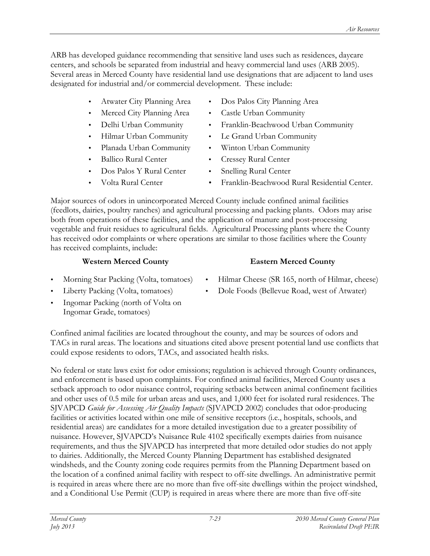ARB has developed guidance recommending that sensitive land uses such as residences, daycare centers, and schools be separated from industrial and heavy commercial land uses (ARB 2005). Several areas in Merced County have residential land use designations that are adjacent to land uses designated for industrial and/or commercial development. These include:

- 
- 
- 
- 
- 
- Ballico Rural Center Cressey Rural Center
- Dos Palos Y Rural Center Snelling Rural Center
- 
- Atwater City Planning Area Dos Palos City Planning Area
- Merced City Planning Area Castle Urban Community
- Delhi Urban Community Franklin-Beachwood Urban Community
- Hilmar Urban Community Le Grand Urban Community
	- Planada Urban Community Winton Urban Community
		-
		-
- Volta Rural Center Franklin-Beachwood Rural Residential Center.

Major sources of odors in unincorporated Merced County include confined animal facilities (feedlots, dairies, poultry ranches) and agricultural processing and packing plants. Odors may arise both from operations of these facilities, and the application of manure and post-processing vegetable and fruit residues to agricultural fields. Agricultural Processing plants where the County has received odor complaints or where operations are similar to those facilities where the County has received complaints, include:

### **Western Merced County Eastern Merced County**

- 
- 
- Ingomar Packing (north of Volta on Ingomar Grade, tomatoes)
- Morning Star Packing (Volta, tomatoes) Hilmar Cheese (SR 165, north of Hilmar, cheese)
- Liberty Packing (Volta, tomatoes) Dole Foods (Bellevue Road, west of Atwater)

Confined animal facilities are located throughout the county, and may be sources of odors and TACs in rural areas. The locations and situations cited above present potential land use conflicts that could expose residents to odors, TACs, and associated health risks.

No federal or state laws exist for odor emissions; regulation is achieved through County ordinances, and enforcement is based upon complaints. For confined animal facilities, Merced County uses a setback approach to odor nuisance control, requiring setbacks between animal confinement facilities and other uses of 0.5 mile for urban areas and uses, and 1,000 feet for isolated rural residences. The SJVAPCD *Guide for Assessing Air Quality Impacts* (SJVAPCD 2002) concludes that odor-producing facilities or activities located within one mile of sensitive receptors (i.e., hospitals, schools, and residential areas) are candidates for a more detailed investigation due to a greater possibility of nuisance. However, SJVAPCD's Nuisance Rule 4102 specifically exempts dairies from nuisance requirements, and thus the SJVAPCD has interpreted that more detailed odor studies do not apply to dairies. Additionally, the Merced County Planning Department has established designated windsheds, and the County zoning code requires permits from the Planning Department based on the location of a confined animal facility with respect to off-site dwellings. An administrative permit is required in areas where there are no more than five off-site dwellings within the project windshed, and a Conditional Use Permit (CUP) is required in areas where there are more than five off-site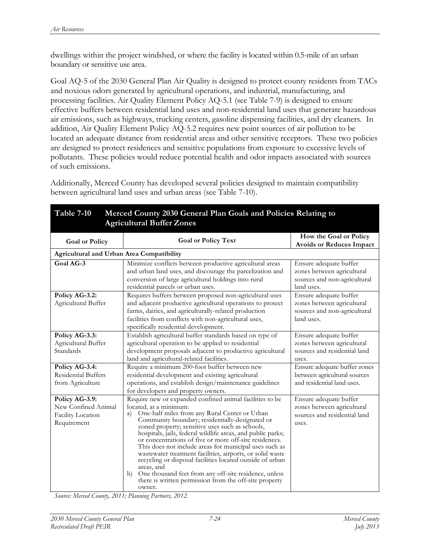dwellings within the project windshed, or where the facility is located within 0.5-mile of an urban boundary or sensitive use area.

Goal AQ-5 of the 2030 General Plan Air Quality is designed to protect county residents from TACs and noxious odors generated by agricultural operations, and industrial, manufacturing, and processing facilities. Air Quality Element Policy AQ-5.1 (see Table 7-9) is designed to ensure effective buffers between residential land uses and non-residential land uses that generate hazardous air emissions, such as highways, trucking centers, gasoline dispensing facilities, and dry cleaners. In addition, Air Quality Element Policy AQ-5.2 requires new point sources of air pollution to be located an adequate distance from residential areas and other sensitive receptors. These two policies are designed to protect residences and sensitive populations from exposure to excessive levels of pollutants. These policies would reduce potential health and odor impacts associated with sources of such emissions.

Additionally, Merced County has developed several policies designed to maintain compatibility between agricultural land uses and urban areas (see Table 7-10).

| <b>Agricultural Buffer Zones</b>                                          |                                                                                                                                                                                                                                                                                                                                                                                                                                                                                                                                                                                                                                                                                                               |                                                                                                    |  |
|---------------------------------------------------------------------------|---------------------------------------------------------------------------------------------------------------------------------------------------------------------------------------------------------------------------------------------------------------------------------------------------------------------------------------------------------------------------------------------------------------------------------------------------------------------------------------------------------------------------------------------------------------------------------------------------------------------------------------------------------------------------------------------------------------|----------------------------------------------------------------------------------------------------|--|
| <b>Goal or Policy</b>                                                     | <b>Goal or Policy Text</b>                                                                                                                                                                                                                                                                                                                                                                                                                                                                                                                                                                                                                                                                                    | How the Goal or Policy<br><b>Avoids or Reduces Impact</b>                                          |  |
| <b>Agricultural and Urban Area Compatibility</b>                          |                                                                                                                                                                                                                                                                                                                                                                                                                                                                                                                                                                                                                                                                                                               |                                                                                                    |  |
| Goal AG-3                                                                 | Minimize conflicts between productive agricultural areas<br>and urban land uses, and discourage the parcelization and<br>conversion of large agricultural holdings into rural<br>residential parcels or urban uses.                                                                                                                                                                                                                                                                                                                                                                                                                                                                                           | Ensure adequate buffer<br>zones between agricultural<br>sources and non-agricultural<br>land uses. |  |
| Policy AG-3.2:<br>Agricultural Buffer                                     | Requires buffers between proposed non-agricultural uses<br>and adjacent productive agricultural operations to protect<br>farms, dairies, and agriculturally-related production<br>facilities from conflicts with non-agricultural uses,<br>specifically residential development.                                                                                                                                                                                                                                                                                                                                                                                                                              | Ensure adequate buffer<br>zones between agricultural<br>sources and non-agricultural<br>land uses. |  |
| Policy AG-3.3:<br>Agricultural Buffer<br>Standards                        | Establish agricultural buffer standards based on type of<br>agricultural operation to be applied to residential<br>development proposals adjacent to productive agricultural<br>land and agricultural-related facilities.                                                                                                                                                                                                                                                                                                                                                                                                                                                                                     | Ensure adequate buffer<br>zones between agricultural<br>sources and residential land<br>uses.      |  |
| Policy AG-3.4:<br>Residential Buffers<br>from Agriculture                 | Require a minimum 200-foot buffer between new<br>residential development and existing agricultural<br>operations, and establish design/maintenance guidelines<br>for developers and property owners.                                                                                                                                                                                                                                                                                                                                                                                                                                                                                                          | Ensure adequate buffer zones<br>between agricultural sources<br>and residential land uses.         |  |
| Policy AG-3.9:<br>New Confined Animal<br>Facility Location<br>Requirement | Require new or expanded confined animal facilities to be<br>located, at a minimum:<br>One-half miles from any Rural Center or Urban<br>a)<br>Community boundary; residentially-designated or<br>zoned property; sensitive uses such as schools,<br>hospitals, jails, federal wildlife areas, and public parks;<br>or concentrations of five or more off-site residences.<br>This does not include areas for municipal uses such as<br>wastewater treatment facilities, airports, or solid waste<br>recycling or disposal facilities located outside of urban<br>areas, and<br>One thousand feet from any off-site residence, unless<br>b)<br>there is written permission from the off-site property<br>owner. | Ensure adequate buffer<br>zones between agricultural<br>sources and residential land<br>uses.      |  |

# **Table 7-10 Merced County 2030 General Plan Goals and Policies Relating to**

*Source: Merced County, 2011; Planning Partners, 2012.*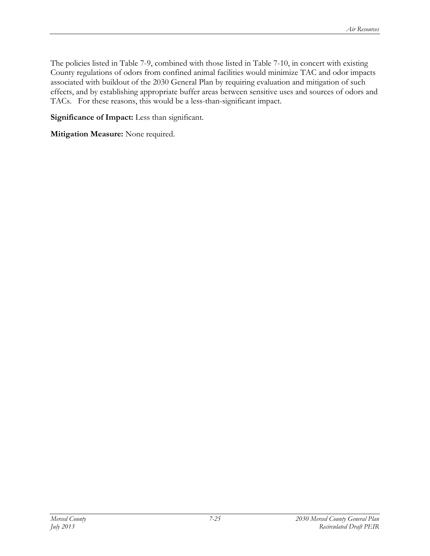The policies listed in Table 7-9, combined with those listed in Table 7-10, in concert with existing County regulations of odors from confined animal facilities would minimize TAC and odor impacts associated with buildout of the 2030 General Plan by requiring evaluation and mitigation of such effects, and by establishing appropriate buffer areas between sensitive uses and sources of odors and TACs. For these reasons, this would be a less-than-significant impact.

**Significance of Impact:** Less than significant.

**Mitigation Measure:** None required.